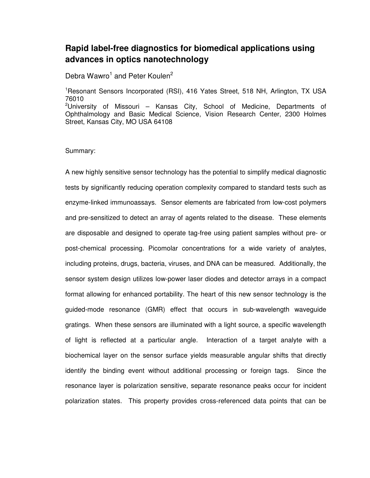## **Rapid label-free diagnostics for biomedical applications using advances in optics nanotechnology**

Debra Wawro<sup>1</sup> and Peter Koulen<sup>2</sup>

<sup>1</sup>Resonant Sensors Incorporated (RSI), 416 Yates Street, 518 NH, Arlington, TX USA 76010 <sup>2</sup>University of Missouri – Kansas City, School of Medicine, Departments of Ophthalmology and Basic Medical Science, Vision Research Center, 2300 Holmes Street, Kansas City, MO USA 64108

## Summary:

A new highly sensitive sensor technology has the potential to simplify medical diagnostic tests by significantly reducing operation complexity compared to standard tests such as enzyme-linked immunoassays. Sensor elements are fabricated from low-cost polymers and pre-sensitized to detect an array of agents related to the disease. These elements are disposable and designed to operate tag-free using patient samples without pre- or post-chemical processing. Picomolar concentrations for a wide variety of analytes, including proteins, drugs, bacteria, viruses, and DNA can be measured. Additionally, the sensor system design utilizes low-power laser diodes and detector arrays in a compact format allowing for enhanced portability. The heart of this new sensor technology is the guided-mode resonance (GMR) effect that occurs in sub-wavelength waveguide gratings. When these sensors are illuminated with a light source, a specific wavelength of light is reflected at a particular angle. Interaction of a target analyte with a biochemical layer on the sensor surface yields measurable angular shifts that directly identify the binding event without additional processing or foreign tags. Since the resonance layer is polarization sensitive, separate resonance peaks occur for incident polarization states. This property provides cross-referenced data points that can be